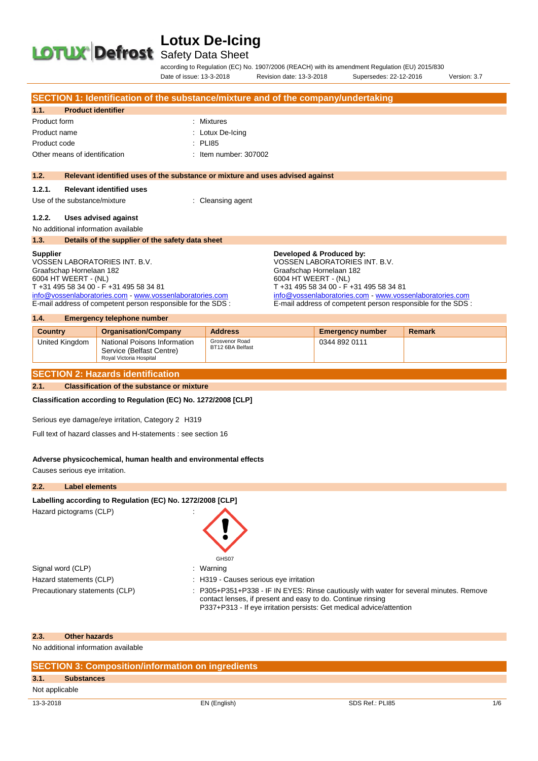# **LOTUX Defrost** Safety Data Sheet

according to Regulation (EC) No. 1907/2006 (REACH) with its amendment Regulation (EU) 2015/830 Date of issue: 13-3-2018 Revision date: 13-3-2018 Supersedes: 22-12-2016 Version: 3.7

|                      |                                                                                                                          | SECTION 1: Identification of the substance/mixture and of the company/undertaking                                        |
|----------------------|--------------------------------------------------------------------------------------------------------------------------|--------------------------------------------------------------------------------------------------------------------------|
| 1.1.                 | <b>Product identifier</b>                                                                                                |                                                                                                                          |
| Product form         |                                                                                                                          | : Mixtures                                                                                                               |
| Product name         |                                                                                                                          | : Lotux De-Icing                                                                                                         |
| Product code         |                                                                                                                          | $\therefore$ PLI85                                                                                                       |
|                      | Other means of identification                                                                                            | : Item number: 307002                                                                                                    |
|                      |                                                                                                                          |                                                                                                                          |
| 1.2.                 |                                                                                                                          | Relevant identified uses of the substance or mixture and uses advised against                                            |
| 1.2.1.               | <b>Relevant identified uses</b>                                                                                          |                                                                                                                          |
|                      | Use of the substance/mixture                                                                                             | : Cleansing agent                                                                                                        |
|                      |                                                                                                                          |                                                                                                                          |
| 1.2.2.               | Uses advised against                                                                                                     |                                                                                                                          |
|                      | No additional information available                                                                                      |                                                                                                                          |
| 1.3.                 | Details of the supplier of the safety data sheet                                                                         |                                                                                                                          |
| <b>Supplier</b>      |                                                                                                                          | Developed & Produced by:                                                                                                 |
|                      | VOSSEN LABORATORIES INT. B.V.                                                                                            | VOSSEN LABORATORIES INT. B.V.                                                                                            |
|                      | Graafschap Hornelaan 182                                                                                                 | Graafschap Hornelaan 182                                                                                                 |
| 6004 HT WEERT - (NL) |                                                                                                                          | 6004 HT WEERT - (NL)                                                                                                     |
|                      | T +31 495 58 34 00 - F +31 495 58 34 81                                                                                  | T +31 495 58 34 00 - F +31 495 58 34 81                                                                                  |
|                      | info@vossenlaboratories.com - www.vossenlaboratories.com<br>E-mail address of competent person responsible for the SDS : | info@vossenlaboratories.com - www.vossenlaboratories.com<br>E-mail address of competent person responsible for the SDS : |
|                      |                                                                                                                          |                                                                                                                          |
| 1.4.                 | <b>Emergency telephone number</b>                                                                                        |                                                                                                                          |
| $\sum_{i=1}^{n}$     | $A = 1$                                                                                                                  | <b>And others</b><br><b>Contract Contract Contract Contract</b><br><b>Contract Contract Contract</b><br>and the same of  |

| <b>Country</b> | <b>Organisation/Company</b>                                                         | <b>Address</b>                     | <b>Emergency number</b> | Remark |
|----------------|-------------------------------------------------------------------------------------|------------------------------------|-------------------------|--------|
| United Kingdom | National Poisons Information<br>Service (Belfast Centre)<br>Roval Victoria Hospital | Grosvenor Road<br>BT12 6BA Belfast | 0344 892 0111           |        |

#### **SECTION 2: Hazards identification**

**2.1. Classification of the substance or mixture**

**Classification according to Regulation (EC) No. 1272/2008 [CLP]** 

Serious eye damage/eye irritation, Category 2 H319

Full text of hazard classes and H-statements : see section 16

#### **Adverse physicochemical, human health and environmental effects**

Causes serious eye irritation.

#### **2.2. Label elements**

#### Labelling according to Regulation (EC) No. 1272/2008 [CLP]

Hazard pictograms (CLP) :

Signal word (CLP) : Warning Hazard statements (CLP)  $\qquad \qquad$ : H319 - Causes serious eye irritation

- GHS07
- 
- 
- Precautionary statements (CLP) : P305+P351+P338 IF IN EYES: Rinse cautiously with water for several minutes. Remove contact lenses, if present and easy to do. Continue rinsing P337+P313 - If eye irritation persists: Get medical advice/attention

#### **2.3. Other hazards**

No additional information available

|                | <b>SECTION 3: Composition/information on ingredients</b> |              |                 |     |  |
|----------------|----------------------------------------------------------|--------------|-----------------|-----|--|
| 3.1.           | <b>Substances</b>                                        |              |                 |     |  |
| Not applicable |                                                          |              |                 |     |  |
| 13-3-2018      |                                                          | EN (English) | SDS Ref.: PLI85 | 1/6 |  |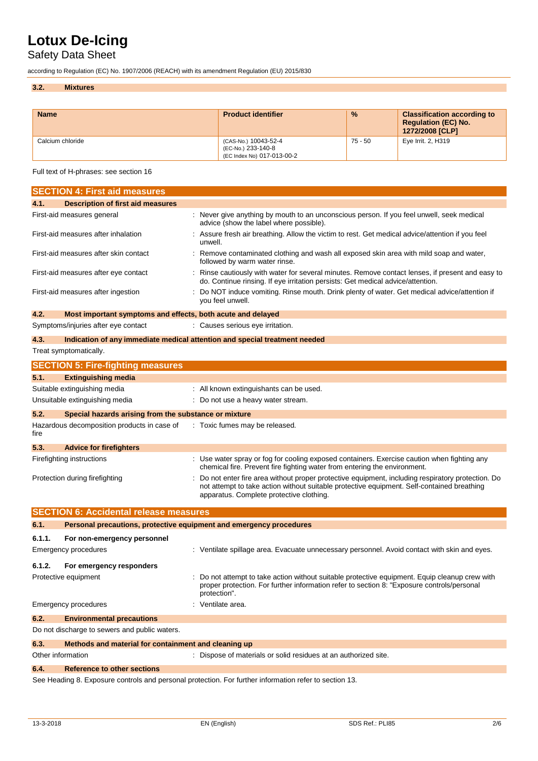### Safety Data Sheet

according to Regulation (EC) No. 1907/2006 (REACH) with its amendment Regulation (EU) 2015/830

#### **3.2. Mixtures**

| <b>Name</b>      | <b>Product identifier</b>                                                | $\frac{9}{6}$ | <b>Classification according to</b><br><b>Regulation (EC) No.</b><br>1272/2008 [CLP] |
|------------------|--------------------------------------------------------------------------|---------------|-------------------------------------------------------------------------------------|
| Calcium chloride | (CAS-No.) 10043-52-4<br>(EC-No.) 233-140-8<br>(EC Index No) 017-013-00-2 | $75 - 50$     | Eye Irrit. 2, H319                                                                  |

Full text of H-phrases: see section 16

| 4.1.<br><b>Description of first aid measures</b><br>: Never give anything by mouth to an unconscious person. If you feel unwell, seek medical<br>First-aid measures general<br>advice (show the label where possible).<br>Assure fresh air breathing. Allow the victim to rest. Get medical advice/attention if you feel<br>First-aid measures after inhalation<br>unwell.<br>First-aid measures after skin contact<br>Remove contaminated clothing and wash all exposed skin area with mild soap and water,<br>followed by warm water rinse.<br>First-aid measures after eye contact<br>Rinse cautiously with water for several minutes. Remove contact lenses, if present and easy to<br>do. Continue rinsing. If eye irritation persists: Get medical advice/attention.<br>Do NOT induce vomiting. Rinse mouth. Drink plenty of water. Get medical advice/attention if<br>First-aid measures after ingestion<br>you feel unwell.<br>4.2.<br>Most important symptoms and effects, both acute and delayed<br>Symptoms/injuries after eye contact<br>: Causes serious eye irritation.<br>4.3.<br>Indication of any immediate medical attention and special treatment needed<br>Treat symptomatically.<br><b>SECTION 5: Fire-fighting measures</b><br>5.1.<br><b>Extinguishing media</b><br>Suitable extinguishing media<br>: All known extinguishants can be used.<br>Unsuitable extinguishing media<br>: Do not use a heavy water stream.<br>5.2.<br>Special hazards arising from the substance or mixture | <b>SECTION 4: First aid measures</b> |  |
|-------------------------------------------------------------------------------------------------------------------------------------------------------------------------------------------------------------------------------------------------------------------------------------------------------------------------------------------------------------------------------------------------------------------------------------------------------------------------------------------------------------------------------------------------------------------------------------------------------------------------------------------------------------------------------------------------------------------------------------------------------------------------------------------------------------------------------------------------------------------------------------------------------------------------------------------------------------------------------------------------------------------------------------------------------------------------------------------------------------------------------------------------------------------------------------------------------------------------------------------------------------------------------------------------------------------------------------------------------------------------------------------------------------------------------------------------------------------------------------------------------------|--------------------------------------|--|
|                                                                                                                                                                                                                                                                                                                                                                                                                                                                                                                                                                                                                                                                                                                                                                                                                                                                                                                                                                                                                                                                                                                                                                                                                                                                                                                                                                                                                                                                                                             |                                      |  |
|                                                                                                                                                                                                                                                                                                                                                                                                                                                                                                                                                                                                                                                                                                                                                                                                                                                                                                                                                                                                                                                                                                                                                                                                                                                                                                                                                                                                                                                                                                             |                                      |  |
|                                                                                                                                                                                                                                                                                                                                                                                                                                                                                                                                                                                                                                                                                                                                                                                                                                                                                                                                                                                                                                                                                                                                                                                                                                                                                                                                                                                                                                                                                                             |                                      |  |
|                                                                                                                                                                                                                                                                                                                                                                                                                                                                                                                                                                                                                                                                                                                                                                                                                                                                                                                                                                                                                                                                                                                                                                                                                                                                                                                                                                                                                                                                                                             |                                      |  |
|                                                                                                                                                                                                                                                                                                                                                                                                                                                                                                                                                                                                                                                                                                                                                                                                                                                                                                                                                                                                                                                                                                                                                                                                                                                                                                                                                                                                                                                                                                             |                                      |  |
|                                                                                                                                                                                                                                                                                                                                                                                                                                                                                                                                                                                                                                                                                                                                                                                                                                                                                                                                                                                                                                                                                                                                                                                                                                                                                                                                                                                                                                                                                                             |                                      |  |
|                                                                                                                                                                                                                                                                                                                                                                                                                                                                                                                                                                                                                                                                                                                                                                                                                                                                                                                                                                                                                                                                                                                                                                                                                                                                                                                                                                                                                                                                                                             |                                      |  |
|                                                                                                                                                                                                                                                                                                                                                                                                                                                                                                                                                                                                                                                                                                                                                                                                                                                                                                                                                                                                                                                                                                                                                                                                                                                                                                                                                                                                                                                                                                             |                                      |  |
|                                                                                                                                                                                                                                                                                                                                                                                                                                                                                                                                                                                                                                                                                                                                                                                                                                                                                                                                                                                                                                                                                                                                                                                                                                                                                                                                                                                                                                                                                                             |                                      |  |
|                                                                                                                                                                                                                                                                                                                                                                                                                                                                                                                                                                                                                                                                                                                                                                                                                                                                                                                                                                                                                                                                                                                                                                                                                                                                                                                                                                                                                                                                                                             |                                      |  |
|                                                                                                                                                                                                                                                                                                                                                                                                                                                                                                                                                                                                                                                                                                                                                                                                                                                                                                                                                                                                                                                                                                                                                                                                                                                                                                                                                                                                                                                                                                             |                                      |  |
|                                                                                                                                                                                                                                                                                                                                                                                                                                                                                                                                                                                                                                                                                                                                                                                                                                                                                                                                                                                                                                                                                                                                                                                                                                                                                                                                                                                                                                                                                                             |                                      |  |
|                                                                                                                                                                                                                                                                                                                                                                                                                                                                                                                                                                                                                                                                                                                                                                                                                                                                                                                                                                                                                                                                                                                                                                                                                                                                                                                                                                                                                                                                                                             |                                      |  |
|                                                                                                                                                                                                                                                                                                                                                                                                                                                                                                                                                                                                                                                                                                                                                                                                                                                                                                                                                                                                                                                                                                                                                                                                                                                                                                                                                                                                                                                                                                             |                                      |  |
|                                                                                                                                                                                                                                                                                                                                                                                                                                                                                                                                                                                                                                                                                                                                                                                                                                                                                                                                                                                                                                                                                                                                                                                                                                                                                                                                                                                                                                                                                                             |                                      |  |
| Hazardous decomposition products in case of<br>: Toxic fumes may be released.<br>fire                                                                                                                                                                                                                                                                                                                                                                                                                                                                                                                                                                                                                                                                                                                                                                                                                                                                                                                                                                                                                                                                                                                                                                                                                                                                                                                                                                                                                       |                                      |  |
| 5.3.<br><b>Advice for firefighters</b>                                                                                                                                                                                                                                                                                                                                                                                                                                                                                                                                                                                                                                                                                                                                                                                                                                                                                                                                                                                                                                                                                                                                                                                                                                                                                                                                                                                                                                                                      |                                      |  |
| : Use water spray or fog for cooling exposed containers. Exercise caution when fighting any<br>Firefighting instructions<br>chemical fire. Prevent fire fighting water from entering the environment.                                                                                                                                                                                                                                                                                                                                                                                                                                                                                                                                                                                                                                                                                                                                                                                                                                                                                                                                                                                                                                                                                                                                                                                                                                                                                                       |                                      |  |
| Do not enter fire area without proper protective equipment, including respiratory protection. Do<br>Protection during firefighting<br>not attempt to take action without suitable protective equipment. Self-contained breathing<br>apparatus. Complete protective clothing.                                                                                                                                                                                                                                                                                                                                                                                                                                                                                                                                                                                                                                                                                                                                                                                                                                                                                                                                                                                                                                                                                                                                                                                                                                |                                      |  |
| <b>SECTION 6: Accidental release measures</b>                                                                                                                                                                                                                                                                                                                                                                                                                                                                                                                                                                                                                                                                                                                                                                                                                                                                                                                                                                                                                                                                                                                                                                                                                                                                                                                                                                                                                                                               |                                      |  |
| 6.1.<br>Personal precautions, protective equipment and emergency procedures                                                                                                                                                                                                                                                                                                                                                                                                                                                                                                                                                                                                                                                                                                                                                                                                                                                                                                                                                                                                                                                                                                                                                                                                                                                                                                                                                                                                                                 |                                      |  |
| 6.1.1.<br>For non-emergency personnel                                                                                                                                                                                                                                                                                                                                                                                                                                                                                                                                                                                                                                                                                                                                                                                                                                                                                                                                                                                                                                                                                                                                                                                                                                                                                                                                                                                                                                                                       |                                      |  |
| : Ventilate spillage area. Evacuate unnecessary personnel. Avoid contact with skin and eyes.<br>Emergency procedures                                                                                                                                                                                                                                                                                                                                                                                                                                                                                                                                                                                                                                                                                                                                                                                                                                                                                                                                                                                                                                                                                                                                                                                                                                                                                                                                                                                        |                                      |  |
|                                                                                                                                                                                                                                                                                                                                                                                                                                                                                                                                                                                                                                                                                                                                                                                                                                                                                                                                                                                                                                                                                                                                                                                                                                                                                                                                                                                                                                                                                                             |                                      |  |
| 6.1.2.<br>For emergency responders                                                                                                                                                                                                                                                                                                                                                                                                                                                                                                                                                                                                                                                                                                                                                                                                                                                                                                                                                                                                                                                                                                                                                                                                                                                                                                                                                                                                                                                                          |                                      |  |
| Protective equipment<br>Do not attempt to take action without suitable protective equipment. Equip cleanup crew with<br>proper protection. For further information refer to section 8: "Exposure controls/personal<br>protection".                                                                                                                                                                                                                                                                                                                                                                                                                                                                                                                                                                                                                                                                                                                                                                                                                                                                                                                                                                                                                                                                                                                                                                                                                                                                          |                                      |  |
| <b>Emergency procedures</b><br>Ventilate area.                                                                                                                                                                                                                                                                                                                                                                                                                                                                                                                                                                                                                                                                                                                                                                                                                                                                                                                                                                                                                                                                                                                                                                                                                                                                                                                                                                                                                                                              |                                      |  |
| 6.2.<br><b>Environmental precautions</b>                                                                                                                                                                                                                                                                                                                                                                                                                                                                                                                                                                                                                                                                                                                                                                                                                                                                                                                                                                                                                                                                                                                                                                                                                                                                                                                                                                                                                                                                    |                                      |  |
| Do not discharge to sewers and public waters.                                                                                                                                                                                                                                                                                                                                                                                                                                                                                                                                                                                                                                                                                                                                                                                                                                                                                                                                                                                                                                                                                                                                                                                                                                                                                                                                                                                                                                                               |                                      |  |
| 6.3.<br>Methods and material for containment and cleaning up                                                                                                                                                                                                                                                                                                                                                                                                                                                                                                                                                                                                                                                                                                                                                                                                                                                                                                                                                                                                                                                                                                                                                                                                                                                                                                                                                                                                                                                |                                      |  |
| Other information<br>: Dispose of materials or solid residues at an authorized site.                                                                                                                                                                                                                                                                                                                                                                                                                                                                                                                                                                                                                                                                                                                                                                                                                                                                                                                                                                                                                                                                                                                                                                                                                                                                                                                                                                                                                        |                                      |  |
| 6.4.<br><b>Reference to other sections</b>                                                                                                                                                                                                                                                                                                                                                                                                                                                                                                                                                                                                                                                                                                                                                                                                                                                                                                                                                                                                                                                                                                                                                                                                                                                                                                                                                                                                                                                                  |                                      |  |

See Heading 8. Exposure controls and personal protection. For further information refer to section 13.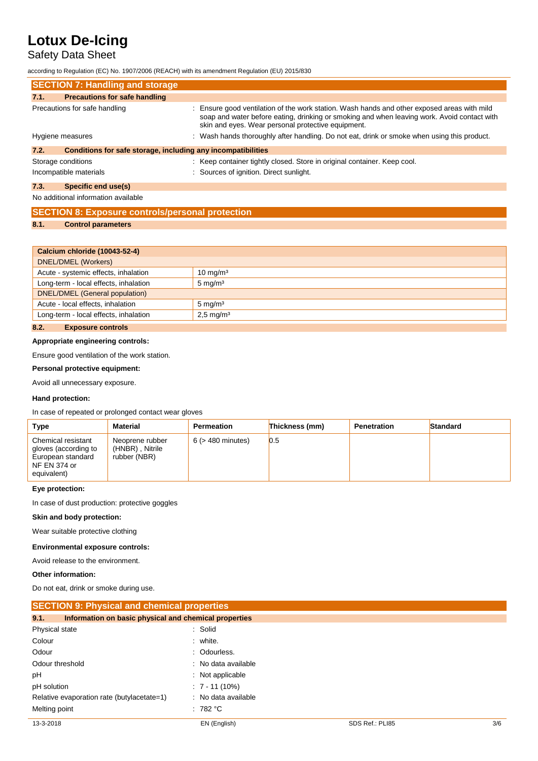### Safety Data Sheet

according to Regulation (EC) No. 1907/2006 (REACH) with its amendment Regulation (EU) 2015/830

|                               | <b>SECTION 7: Handling and storage</b>                       |                                                                                                                                                                                                                                                  |
|-------------------------------|--------------------------------------------------------------|--------------------------------------------------------------------------------------------------------------------------------------------------------------------------------------------------------------------------------------------------|
| 7.1.                          | <b>Precautions for safe handling</b>                         |                                                                                                                                                                                                                                                  |
| Precautions for safe handling |                                                              | : Ensure good ventilation of the work station. Wash hands and other exposed areas with mild<br>soap and water before eating, drinking or smoking and when leaving work. Avoid contact with<br>skin and eyes. Wear personal protective equipment. |
| Hygiene measures              |                                                              | : Wash hands thoroughly after handling. Do not eat, drink or smoke when using this product.                                                                                                                                                      |
| 7.2.                          | Conditions for safe storage, including any incompatibilities |                                                                                                                                                                                                                                                  |
|                               | Storage conditions                                           | : Keep container tightly closed. Store in original container. Keep cool.                                                                                                                                                                         |
|                               | Incompatible materials                                       | : Sources of ignition. Direct sunlight.                                                                                                                                                                                                          |
| 7.3.                          | Specific end use(s)                                          |                                                                                                                                                                                                                                                  |
|                               | No additional information available                          |                                                                                                                                                                                                                                                  |

|      | <b>SECTION 8: Exposure controls/personal protection</b> |
|------|---------------------------------------------------------|
| 8.1. | <b>Control parameters</b>                               |

#### **Calcium chloride (10043-52-4)**

| Calcium Chionue (Tooto-Sz-4)                                     |                     |  |
|------------------------------------------------------------------|---------------------|--|
| DNEL/DMEL (Workers)                                              |                     |  |
| Acute - systemic effects, inhalation                             | $10 \text{ mg/m}^3$ |  |
| Long-term - local effects, inhalation                            | $5 \text{ mg/m}^3$  |  |
| DNEL/DMEL (General population)                                   |                     |  |
| Acute - local effects, inhalation                                | $5 \text{ mg/m}^3$  |  |
| Long-term - local effects, inhalation<br>$2,5 \,\mathrm{mg/m^3}$ |                     |  |
| 8.2.<br><b>Exposure controls</b>                                 |                     |  |

### **Appropriate engineering controls:**

Ensure good ventilation of the work station.

#### **Personal protective equipment:**

Avoid all unnecessary exposure.

#### **Hand protection:**

In case of repeated or prolonged contact wear gloves

| Type                                                                                           | <b>Material</b>                                    | Permeation             | Thickness (mm) | Penetration | Standard |
|------------------------------------------------------------------------------------------------|----------------------------------------------------|------------------------|----------------|-------------|----------|
| Chemical resistant<br>gloves (according to<br>European standard<br>NF EN 374 or<br>equivalent) | Neoprene rubber<br>(HNBR), Nitrile<br>rubber (NBR) | $6$ ( $>$ 480 minutes) | 0.5            |             |          |

#### **Eye protection:**

In case of dust production: protective goggles

#### **Skin and body protection:**

Wear suitable protective clothing

#### **Environmental exposure controls:**

Avoid release to the environment.

#### **Other information:**

Do not eat, drink or smoke during use.

| <b>SECTION 9: Physical and chemical properties</b>            |                     |                 |     |
|---------------------------------------------------------------|---------------------|-----------------|-----|
| Information on basic physical and chemical properties<br>9.1. |                     |                 |     |
| Physical state                                                | : Solid             |                 |     |
| Colour                                                        | : white.            |                 |     |
| Odour                                                         | : Odourless.        |                 |     |
| Odour threshold                                               | : No data available |                 |     |
| pH                                                            | : Not applicable    |                 |     |
| pH solution                                                   | $: 7 - 11(10\%)$    |                 |     |
| Relative evaporation rate (butylacetate=1)                    | : No data available |                 |     |
| Melting point                                                 | : 782 °C            |                 |     |
| 13-3-2018                                                     | EN (English)        | SDS Ref.: PLI85 | 3/6 |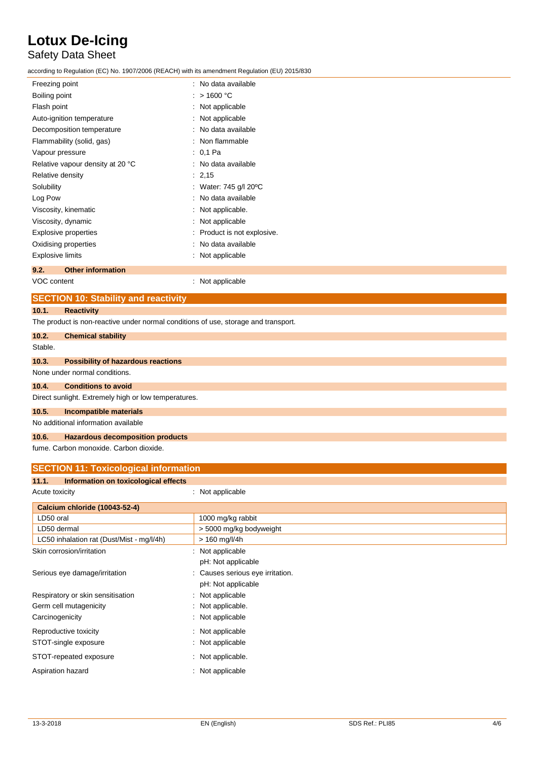### Safety Data Sheet

according to Regulation (EC) No. 1907/2006 (REACH) with its amendment Regulation (EU) 2015/830

| Freezing point                   | : No data available             |
|----------------------------------|---------------------------------|
| Boiling point                    | : $>1600$ °C                    |
| Flash point                      | : Not applicable                |
| Auto-ignition temperature        | : Not applicable                |
| Decomposition temperature        | : No data available             |
| Flammability (solid, gas)        | : Non flammable                 |
| Vapour pressure                  | : 0.1 Pa                        |
| Relative vapour density at 20 °C | : No data available             |
| Relative density                 | : 2,15                          |
| Solubility                       | : Water: 745 g/l 20 $\degree$ C |
| Log Pow                          | : No data available             |
| Viscosity, kinematic             | Not applicable.                 |
| Viscosity, dynamic               | Not applicable                  |
| Explosive properties             | Product is not explosive.       |
| Oxidising properties             | No data available               |
| <b>Explosive limits</b>          | : Not applicable                |
| <b>Other information</b><br>9.2. |                                 |
| VOC content                      | : Not applicable                |

### **SECTION 10: Stability and reactivity**

**10.1. Reactivity**

The product is non-reactive under normal conditions of use, storage and transport.

| 10.2.   | <b>Chemical stability</b>                            |
|---------|------------------------------------------------------|
| Stable. |                                                      |
| 10.3.   | <b>Possibility of hazardous reactions</b>            |
|         | None under normal conditions.                        |
| 10.4.   | <b>Conditions to avoid</b>                           |
|         | Direct sunlight. Extremely high or low temperatures. |
| 10.5.   | Incompatible materials                               |
|         | No additional information available                  |
| 10.6.   | <b>Hazardous decomposition products</b>              |

fume. Carbon monoxide. Carbon dioxide.

| <b>SECTION 11: Toxicological information</b>  |                                |  |  |
|-----------------------------------------------|--------------------------------|--|--|
| Information on toxicological effects<br>11.1. |                                |  |  |
| Acute toxicity                                | : Not applicable               |  |  |
| <b>Calcium chloride (10043-52-4)</b>          |                                |  |  |
| LD50 oral                                     | 1000 mg/kg rabbit              |  |  |
| LD50 dermal                                   | > 5000 mg/kg bodyweight        |  |  |
| LC50 inhalation rat (Dust/Mist - mg/l/4h)     | $> 160$ mg/l/4h                |  |  |
| Skin corrosion/irritation                     | Not applicable                 |  |  |
|                                               | pH: Not applicable             |  |  |
| Serious eye damage/irritation                 | Causes serious eye irritation. |  |  |
|                                               | pH: Not applicable             |  |  |
| Respiratory or skin sensitisation             | Not applicable                 |  |  |
| Germ cell mutagenicity                        | : Not applicable.              |  |  |
| Carcinogenicity                               | : Not applicable               |  |  |
| Reproductive toxicity                         | Not applicable<br>÷            |  |  |
| STOT-single exposure                          | : Not applicable               |  |  |
| STOT-repeated exposure                        | Not applicable.                |  |  |
| Aspiration hazard                             | Not applicable                 |  |  |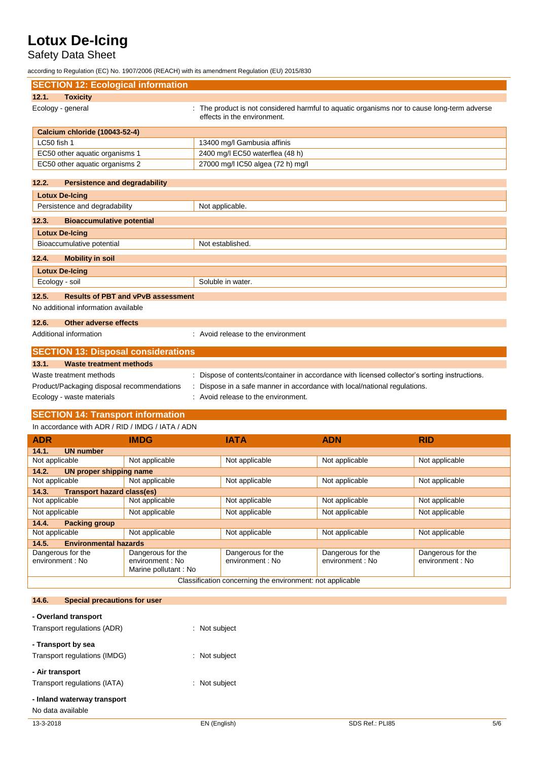## Safety Data Sheet

according to Regulation (EC) No. 1907/2006 (REACH) with its amendment Regulation (EU) 2015/830

| <b>SECTION 12: Ecological information</b>                         |                                                                                                                            |                |                |
|-------------------------------------------------------------------|----------------------------------------------------------------------------------------------------------------------------|----------------|----------------|
| 12.1.<br><b>Toxicity</b>                                          |                                                                                                                            |                |                |
| Ecology - general                                                 | : The product is not considered harmful to aquatic organisms nor to cause long-term adverse<br>effects in the environment. |                |                |
| <b>Calcium chloride (10043-52-4)</b>                              |                                                                                                                            |                |                |
| LC50 fish 1                                                       | 13400 mg/l Gambusia affinis                                                                                                |                |                |
| EC50 other aquatic organisms 1                                    | 2400 mg/l EC50 waterflea (48 h)                                                                                            |                |                |
| EC50 other aquatic organisms 2                                    | 27000 mg/l IC50 algea (72 h) mg/l                                                                                          |                |                |
| 12.2.<br><b>Persistence and degradability</b>                     |                                                                                                                            |                |                |
| <b>Lotux De-Icing</b>                                             |                                                                                                                            |                |                |
| Persistence and degradability                                     | Not applicable.                                                                                                            |                |                |
| 12.3.<br><b>Bioaccumulative potential</b>                         |                                                                                                                            |                |                |
| <b>Lotux De-Icing</b>                                             |                                                                                                                            |                |                |
| Bioaccumulative potential                                         | Not established.                                                                                                           |                |                |
| 12.4.<br><b>Mobility in soil</b>                                  |                                                                                                                            |                |                |
| <b>Lotux De-Icing</b>                                             |                                                                                                                            |                |                |
| Ecology - soil                                                    | Soluble in water.                                                                                                          |                |                |
| 12.5.<br><b>Results of PBT and vPvB assessment</b>                |                                                                                                                            |                |                |
| No additional information available                               |                                                                                                                            |                |                |
| 12.6.<br>Other adverse effects                                    |                                                                                                                            |                |                |
| Additional information                                            | : Avoid release to the environment                                                                                         |                |                |
| <b>SECTION 13: Disposal considerations</b>                        |                                                                                                                            |                |                |
| 13.1.<br><b>Waste treatment methods</b>                           |                                                                                                                            |                |                |
| Waste treatment methods                                           | : Dispose of contents/container in accordance with licensed collector's sorting instructions.                              |                |                |
| Product/Packaging disposal recommendations                        | Dispose in a safe manner in accordance with local/national regulations.                                                    |                |                |
| Ecology - waste materials                                         | : Avoid release to the environment.                                                                                        |                |                |
| <b>SECTION 14: Transport information</b>                          |                                                                                                                            |                |                |
| In accordance with ADR / RID / IMDG / IATA / ADN                  |                                                                                                                            |                |                |
| <b>ADR</b><br><b>IMDG</b>                                         | <b>IATA</b>                                                                                                                | <b>ADN</b>     | RID            |
| 14.1.<br><b>UN number</b>                                         |                                                                                                                            |                |                |
| Not applicable<br>Not applicable                                  | Not applicable                                                                                                             | Not applicable | Not applicable |
| 14.2.<br>UN proper shipping name                                  |                                                                                                                            |                |                |
| Not applicable<br>Not applicable                                  | Not applicable                                                                                                             | Not applicable | Not applicable |
| 14.3.<br><b>Transport hazard class(es)</b>                        |                                                                                                                            |                |                |
| Not applicable<br>Not applicable                                  | Not applicable                                                                                                             | Not applicable | Not applicable |
| Not applicable<br>Not applicable                                  | Not applicable                                                                                                             | Not applicable | Not applicable |
| 14.4.<br><b>Packing group</b><br>Not applicable<br>Not applicable | Not applicable                                                                                                             | Not applicable | Not applicable |

| <b>ADR</b>                                                | <b>IMDG</b>                                                   | <b>IATA</b>                           | <b>ADN</b>                            | <b>RID</b>                            |  |
|-----------------------------------------------------------|---------------------------------------------------------------|---------------------------------------|---------------------------------------|---------------------------------------|--|
| <b>UN number</b><br>14.1.                                 |                                                               |                                       |                                       |                                       |  |
| Not applicable                                            | Not applicable                                                | Not applicable                        | Not applicable                        | Not applicable                        |  |
| UN proper shipping name<br>14.2.                          |                                                               |                                       |                                       |                                       |  |
| Not applicable                                            | Not applicable                                                | Not applicable                        | Not applicable                        | Not applicable                        |  |
| <b>Transport hazard class(es)</b><br>14.3.                |                                                               |                                       |                                       |                                       |  |
| Not applicable                                            | Not applicable                                                | Not applicable                        | Not applicable                        | Not applicable                        |  |
| Not applicable                                            | Not applicable                                                | Not applicable                        | Not applicable                        | Not applicable                        |  |
| <b>Packing group</b><br>14.4.                             |                                                               |                                       |                                       |                                       |  |
| Not applicable                                            | Not applicable                                                | Not applicable                        | Not applicable                        | Not applicable                        |  |
| <b>Environmental hazards</b><br>14.5.                     |                                                               |                                       |                                       |                                       |  |
| Dangerous for the<br>environment : No                     | Dangerous for the<br>environment : No<br>Marine pollutant: No | Dangerous for the<br>environment : No | Dangerous for the<br>environment : No | Dangerous for the<br>environment : No |  |
| Classification concerning the environment: not applicable |                                                               |                                       |                                       |                                       |  |

#### **14.6. Special precautions for user**

| - Overland transport         |               |                 |     |
|------------------------------|---------------|-----------------|-----|
| Transport regulations (ADR)  | : Not subject |                 |     |
| - Transport by sea           |               |                 |     |
| Transport regulations (IMDG) | Not subject   |                 |     |
| - Air transport              |               |                 |     |
| Transport regulations (IATA) | : Not subject |                 |     |
| - Inland waterway transport  |               |                 |     |
| No data available            |               |                 |     |
| 13-3-2018                    | EN (English)  | SDS Ref.: PLI85 | 5/6 |